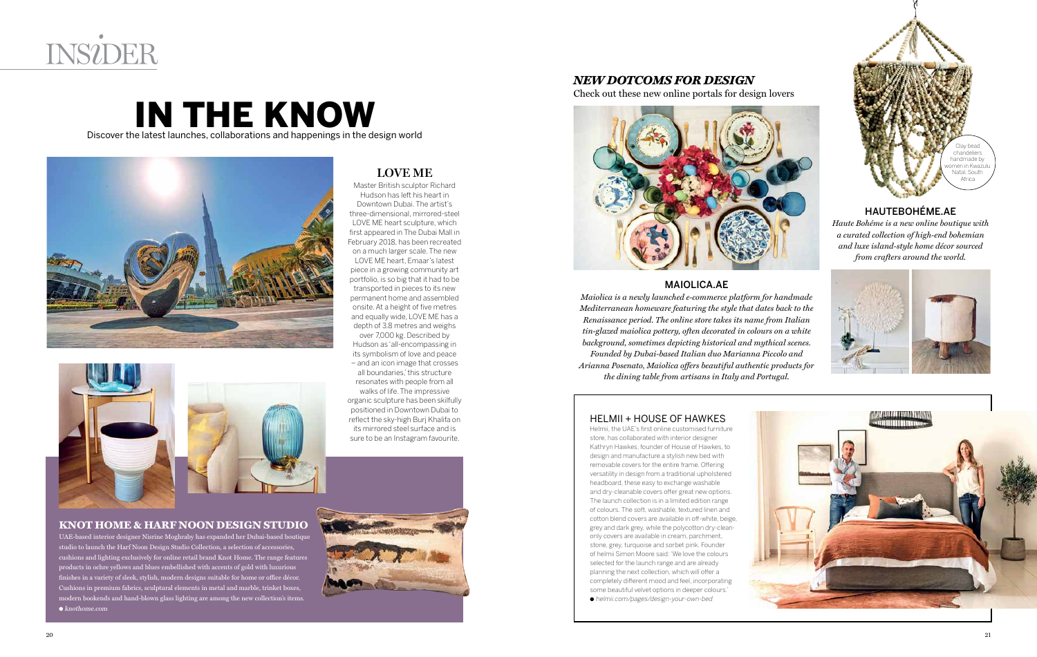

### Discover the latest launches, collaborations and happenings in the design world IN THE KNOW





### **LOVE ME**

Master British sculptor Richard Hudson has left his heart in Downtown Dubai. The artist's three-dimensional, mirrored-steel LOVE ME heart sculpture, which first appeared in The Dubai Mall in February 2018, has been recreated on a much larger scale. The new LOVE ME heart, Emaar's latest piece in a growing community art portfolio, is so big that it had to be transported in pieces to its new permanent home and assembled onsite. At a height of five metres and equally wide, LOVE ME has a depth of 3.8 metres and weighs over 7,000 kg. Described by Hudson as 'all-encompassing in its symbolism of love and peace – and an icon image that crosses

UAE-based interior designer Nisrine Moghraby has expanded her Dubai-based boutique studio to launch the Harf Noon Design Studio Collection, a selection of accessories, cushions and lighting exclusively for online retail brand Knot Home. The range features products in ochre yellows and blues embellished with accents of gold with luxurious finishes in a variety of sleek, stylish, modern designs suitable for home or office décor. Cushions in premium fabrics, sculptural elements in metal and marble, trinket boxes, modern bookends and hand-blown glass lighting are among the new collection's items.  $\bullet$  knothome.com

all boundaries,' this structure resonates with people from all walks of life. The impressive organic sculpture has been skilfully positioned in Downtown Dubai to reflect the sky-high Burj Khalifa on its mirrored steel surface and is sure to be an Instagram favourite.

#### **KNOT HOME & HARF NOON DESIGN STUDIO**



Check out these new online portals for design lovers



#### HAUTEBOHÉME.AE

*Haute Bohéme is a new online boutique with a curated collection of high-end bohemian and luxe island-style home décor sourced from crafters around the world.* 





#### MAIOLICA.AE

*Maiolica is a newly launched e-commerce platform for handmade Mediterranean homeware featuring the style that dates back to the Renaissance period. The online store takes its name from Italian tin-glazed maiolica pottery, often decorated in colours on a white background, sometimes depicting historical and mythical scenes. Founded by Dubai-based Italian duo Marianna Piccolo and Arianna Posenato, Maiolica offers beautiful authentic products for the dining table from artisans in Italy and Portugal.* 

#### HELMII + HOUSE OF HAWKES

Helmii, the UAE's first online customised furniture store, has collaborated with interior designer Kathryn Hawkes, founder of House of Hawkes, to design and manufacture a stylish new bed with removable covers for the entire frame. Offering versatility in design from a traditional upholstered headboard, these easy to exchange washable and dry-cleanable covers offer great new options. The launch collection is in a limited edition range of colours. The soft, washable, textured linen and cotton blend covers are available in off-white, beige grey and dark grey, while the polycotton dry-cleanonly covers are available in cream, parchment, stone, grey, turquoise and sorbet pink. Founder of helmii Simon Moore said: 'We love the colours selected for the launch range and are already planning the next collection, which will offer a completely different mood and feel, incorporating some beautiful velvet options in deeper colours.' l helmii.com/pages/design-your-own-bed